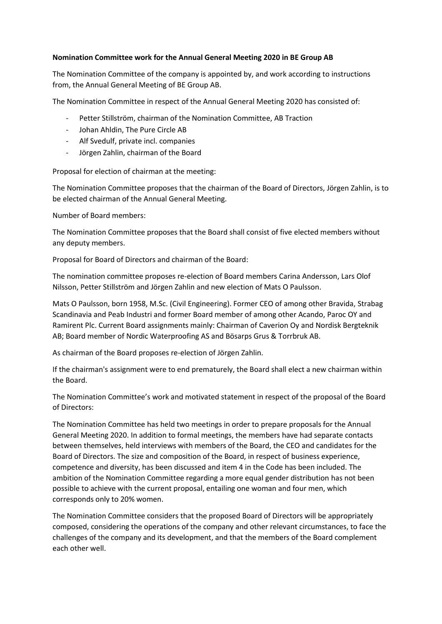## **Nomination Committee work for the Annual General Meeting 2020 in BE Group AB**

The Nomination Committee of the company is appointed by, and work according to instructions from, the Annual General Meeting of BE Group AB.

The Nomination Committee in respect of the Annual General Meeting 2020 has consisted of:

- Petter Stillström, chairman of the Nomination Committee, AB Traction
- Johan Ahldin, The Pure Circle AB
- Alf Svedulf, private incl. companies
- Jörgen Zahlin, chairman of the Board

Proposal for election of chairman at the meeting:

The Nomination Committee proposes that the chairman of the Board of Directors, Jörgen Zahlin, is to be elected chairman of the Annual General Meeting.

Number of Board members:

The Nomination Committee proposes that the Board shall consist of five elected members without any deputy members.

Proposal for Board of Directors and chairman of the Board:

The nomination committee proposes re-election of Board members Carina Andersson, Lars Olof Nilsson, Petter Stillström and Jörgen Zahlin and new election of Mats O Paulsson.

Mats O Paulsson, born 1958, M.Sc. (Civil Engineering). Former CEO of among other Bravida, Strabag Scandinavia and Peab Industri and former Board member of among other Acando, Paroc OY and Ramirent Plc. Current Board assignments mainly: Chairman of Caverion Oy and Nordisk Bergteknik AB; Board member of Nordic Waterproofing AS and Bösarps Grus & Torrbruk AB.

As chairman of the Board proposes re-election of Jörgen Zahlin.

If the chairman's assignment were to end prematurely, the Board shall elect a new chairman within the Board.

The Nomination Committee's work and motivated statement in respect of the proposal of the Board of Directors:

The Nomination Committee has held two meetings in order to prepare proposals for the Annual General Meeting 2020. In addition to formal meetings, the members have had separate contacts between themselves, held interviews with members of the Board, the CEO and candidates for the Board of Directors. The size and composition of the Board, in respect of business experience, competence and diversity, has been discussed and item 4 in the Code has been included. The ambition of the Nomination Committee regarding a more equal gender distribution has not been possible to achieve with the current proposal, entailing one woman and four men, which corresponds only to 20% women.

The Nomination Committee considers that the proposed Board of Directors will be appropriately composed, considering the operations of the company and other relevant circumstances, to face the challenges of the company and its development, and that the members of the Board complement each other well.